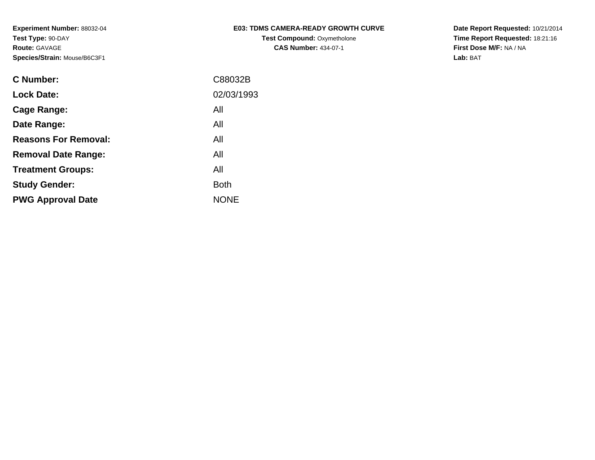| <b>E03: TDMS CAMERA-READY GROWTH CURVE</b> |  |
|--------------------------------------------|--|
| <b>Test Compound: Oxymetholone</b>         |  |

**CAS Number:** 434-07-1

**Date Report Requested:** 10/21/2014 **Time Report Requested:** 18:21:16**First Dose M/F:** NA / NA**Lab:** BAT

| C Number:                   | C88032B     |
|-----------------------------|-------------|
| <b>Lock Date:</b>           | 02/03/1993  |
| Cage Range:                 | All         |
| Date Range:                 | All         |
| <b>Reasons For Removal:</b> | All         |
| <b>Removal Date Range:</b>  | All         |
| <b>Treatment Groups:</b>    | All         |
| <b>Study Gender:</b>        | <b>Both</b> |
| <b>PWG Approval Date</b>    | <b>NONE</b> |
|                             |             |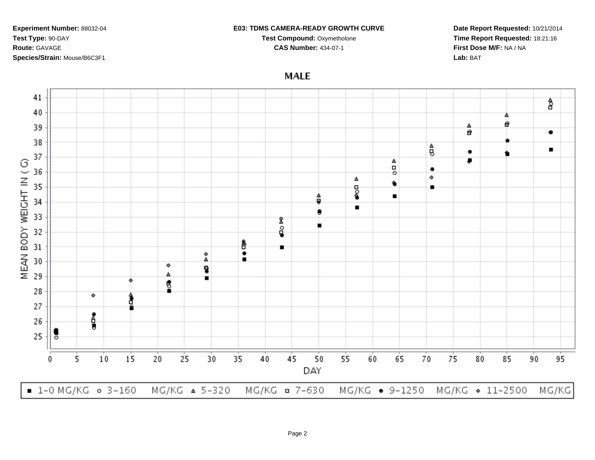## **E03: TDMS CAMERA-READY GROWTH CURVE**

**Test Compound:** Oxymetholone

**CAS Number:** 434-07-1

**Date Report Requested:** 10/21/2014**Time Report Requested:** 18:21:16**First Dose M/F:** NA / NA**Lab:** BAT

**MALE** 

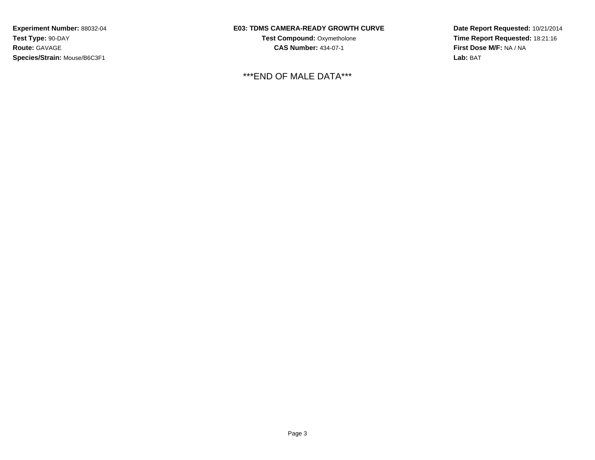## **E03: TDMS CAMERA-READY GROWTH CURVE**

**Test Compound:** Oxymetholone**CAS Number:** 434-07-1

\*\*\*END OF MALE DATA\*\*\*

**Date Report Requested:** 10/21/2014 **Time Report Requested:** 18:21:16**First Dose M/F:** NA / NA**Lab:** BAT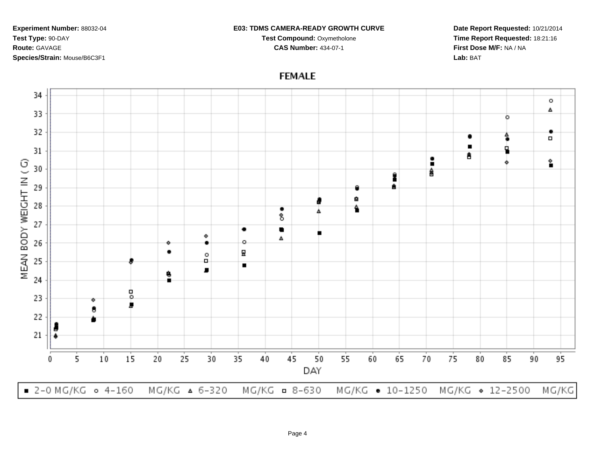## **E03: TDMS CAMERA-READY GROWTH CURVE**

**Test Compound:** Oxymetholone**CAS Number:** 434-07-1

**Date Report Requested:** 10/21/2014**Time Report Requested:** 18:21:16**First Dose M/F:** NA / NA**Lab:** BAT

**FEMALE**